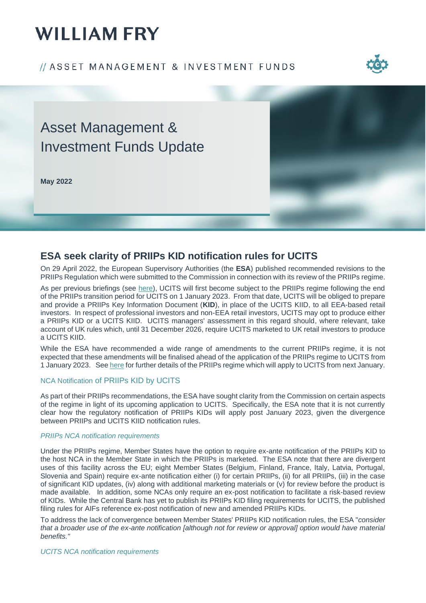# **WILLIAM FRY**

### // ASSET MANAGEMENT & INVESTMENT FUNDS



## Asset Management & Investment Funds Update

**May 2022**



### **ESA seek clarity of PRIIPs KID notification rules for UCITS**

On 29 April 2022, the European Supervisory Authorities (the **ESA**) published recommended revisions to the PRIIPs Regulation which were submitted to the Commission in connection with its review of the PRIIPs regime.

As per previous briefings (see [here\)](https://www.williamfry.com/docs/default-source/funds-updates/priips-exemption-for-ucits-extended-to-december-2022.pdf?sfvrsn=b706e75f_0), UCITS will first become subject to the PRIIPs regime following the end of the PRIIPs transition period for UCITS on 1 January 2023. From that date, UCITS will be obliged to prepare and provide a PRIIPs Key Information Document (**KID**), in place of the UCITS KIID, to all EEA-based retail investors. In respect of professional investors and non-EEA retail investors, UCITS may opt to produce either a PRIIPs KID or a UCITS KIID. UCITS managers' assessment in this regard should, where relevant, take account of UK rules which, until 31 December 2026, require UCITS marketed to UK retail investors to produce a UCITS KIID.

While the ESA have recommended a wide range of amendments to the current PRIIPs regime, it is not expected that these amendments will be finalised ahead of the application of the PRIIPs regime to UCITS from 1 January 2023. Se[e here](https://www.williamfry.com/docs/default-source/reports/priips-for-ucits.pdf?sfvrsn=a857e65f_0) for further details of the PRIIPs regime which will apply to UCITS from next January.

### NCA Notification of PRIIPs KID by UCITS

As part of their PRIIPs recommendations, the ESA have sought clarity from the Commission on certain aspects of the regime in light of its upcoming application to UCITS. Specifically, the ESA note that it is not currently clear how the regulatory notification of PRIIPs KIDs will apply post January 2023, given the divergence between PRIIPs and UCITS KIID notification rules.

### *PRIIPs NCA notification requirements*

Under the PRIIPs regime, Member States have the option to require ex-ante notification of the PRIIPs KID to the host NCA in the Member State in which the PRIIPs is marketed. The ESA note that there are divergent uses of this facility across the EU; eight Member States (Belgium, Finland, France, Italy, Latvia, Portugal, Slovenia and Spain) require ex-ante notification either (i) for certain PRIIPs, (ii) for all PRIIPs, (iii) in the case of significant KID updates, (iv) along with additional marketing materials or (v) for review before the product is made available. In addition, some NCAs only require an ex-post notification to facilitate a risk-based review of KIDs. While the Central Bank has yet to publish its PRIIPs KID filing requirements for UCITS, the published filing rules for AIFs reference ex-post notification of new and amended PRIIPs KIDs.

To address the lack of convergence between Member States' PRIIPs KID notification rules, the ESA "*consider that a broader use of the ex-ante notification [although not for review or approval] option would have material benefits."* 

*UCITS NCA notification requirements*